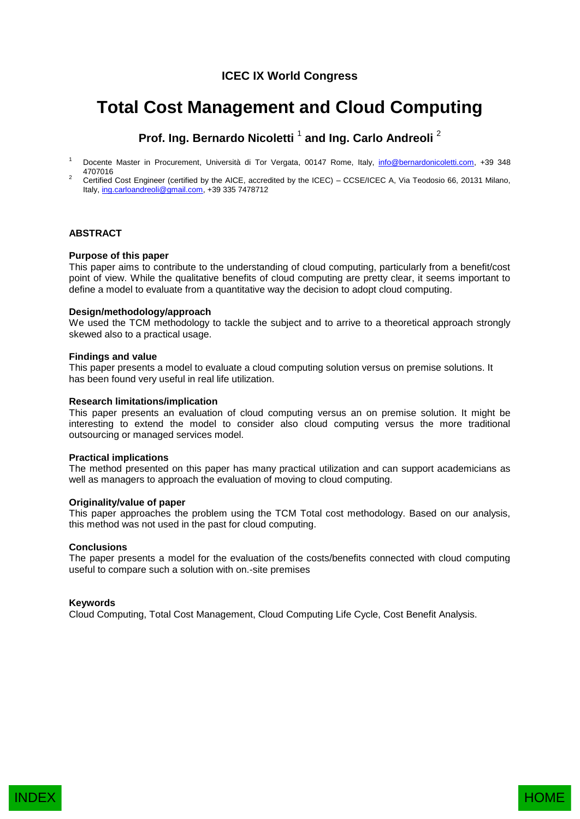# **ICEC IX World Congress**

# **Total Cost Management and Cloud Computing**

# Prof. Ing. Bernardo Nicoletti <sup>1</sup> and Ing. Carlo Andreoli <sup>2</sup>

<sup>1</sup> Docente Master in Procurement, Università di Tor Vergata, 00147 Rome, Italy, *info@bernardonicoletti.com*, +39 348 4707016

<sup>2</sup> Certified Cost Engineer (certified by the AICE, accredited by the ICEC) – CCSE/ICEC A, Via Teodosio 66, 20131 Milano, Italy[, ing.carloandreoli@gmail.com,](mailto:ing.carloandreoli@gmail.com) +39 335 7478712

# **ABSTRACT**

#### **Purpose of this paper**

This paper aims to contribute to the understanding of cloud computing, particularly from a benefit/cost point of view. While the qualitative benefits of cloud computing are pretty clear, it seems important to define a model to evaluate from a quantitative way the decision to adopt cloud computing.

#### **Design/methodology/approach**

We used the TCM methodology to tackle the subject and to arrive to a theoretical approach strongly skewed also to a practical usage.

#### **Findings and value**

This paper presents a model to evaluate a cloud computing solution versus on premise solutions. It has been found very useful in real life utilization.

#### **Research limitations/implication**

This paper presents an evaluation of cloud computing versus an on premise solution. It might be interesting to extend the model to consider also cloud computing versus the more traditional outsourcing or managed services model.

#### **Practical implications**

The method presented on this paper has many practical utilization and can support academicians as well as managers to approach the evaluation of moving to cloud computing.

#### **Originality/value of paper**

This paper approaches the problem using the TCM Total cost methodology. Based on our analysis, this method was not used in the past for cloud computing.

#### **Conclusions**

The paper presents a model for the evaluation of the costs/benefits connected with cloud computing useful to compare such a solution with on.-site premises

#### **Keywords**

Cloud Computing, Total Cost Management, Cloud Computing Life Cycle, Cost Benefit Analysis.

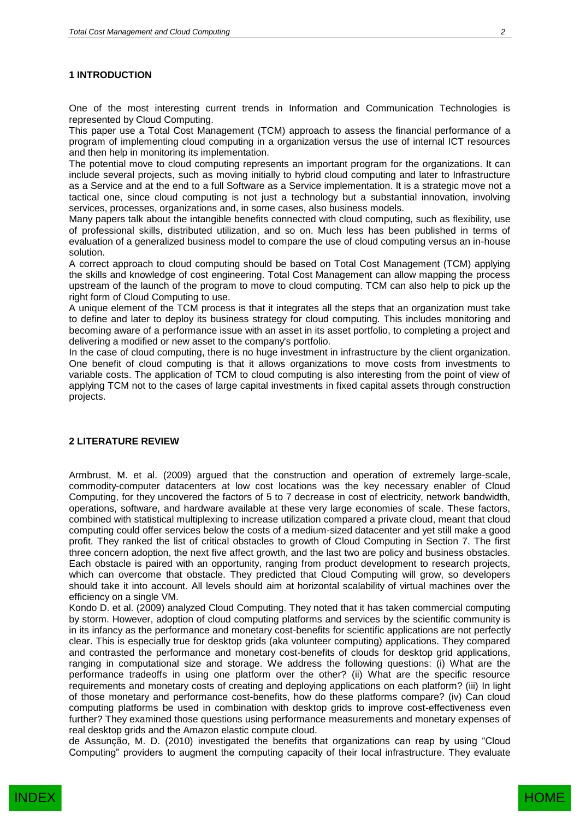#### **1 INTRODUCTION**

One of the most interesting current trends in Information and Communication Technologies is represented by Cloud Computing.

This paper use a Total Cost Management (TCM) approach to assess the financial performance of a program of implementing cloud computing in a organization versus the use of internal ICT resources and then help in monitoring its implementation.

The potential move to cloud computing represents an important program for the organizations. It can include several projects, such as moving initially to hybrid cloud computing and later to Infrastructure as a Service and at the end to a full Software as a Service implementation. It is a strategic move not a tactical one, since cloud computing is not just a technology but a substantial innovation, involving services, processes, organizations and, in some cases, also business models.

Many papers talk about the intangible benefits connected with cloud computing, such as flexibility, use of professional skills, distributed utilization, and so on. Much less has been published in terms of evaluation of a generalized business model to compare the use of cloud computing versus an in-house solution.

A correct approach to cloud computing should be based on Total Cost Management (TCM) applying the skills and knowledge of cost engineering. Total Cost Management can allow mapping the process upstream of the launch of the program to move to cloud computing. TCM can also help to pick up the right form of Cloud Computing to use.

A unique element of the TCM process is that it integrates all the steps that an organization must take to define and later to deploy its business strategy for cloud computing. This includes monitoring and becoming aware of a performance issue with an asset in its asset portfolio, to completing a project and delivering a modified or new asset to the company's portfolio.

In the case of cloud computing, there is no huge investment in infrastructure by the client organization. One benefit of cloud computing is that it allows organizations to move costs from investments to variable costs. The application of TCM to cloud computing is also interesting from the point of view of applying TCM not to the cases of large capital investments in fixed capital assets through construction projects.

#### **2 LITERATURE REVIEW**

Armbrust, M. et al. (2009) argued that the construction and operation of extremely large-scale, commodity-computer datacenters at low cost locations was the key necessary enabler of Cloud Computing, for they uncovered the factors of 5 to 7 decrease in cost of electricity, network bandwidth, operations, software, and hardware available at these very large economies of scale. These factors, combined with statistical multiplexing to increase utilization compared a private cloud, meant that cloud computing could offer services below the costs of a medium-sized datacenter and yet still make a good profit. They ranked the list of critical obstacles to growth of Cloud Computing in Section 7. The first three concern adoption, the next five affect growth, and the last two are policy and business obstacles. Each obstacle is paired with an opportunity, ranging from product development to research projects, which can overcome that obstacle. They predicted that Cloud Computing will grow, so developers should take it into account. All levels should aim at horizontal scalability of virtual machines over the efficiency on a single VM.

Kondo D. et al. (2009) analyzed Cloud Computing. They noted that it has taken commercial computing by storm. However, adoption of cloud computing platforms and services by the scientific community is in its infancy as the performance and monetary cost-benefits for scientific applications are not perfectly clear. This is especially true for desktop grids (aka volunteer computing) applications. They compared and contrasted the performance and monetary cost-benefits of clouds for desktop grid applications, ranging in computational size and storage. We address the following questions: (i) What are the performance tradeoffs in using one platform over the other? (ii) What are the specific resource requirements and monetary costs of creating and deploying applications on each platform? (iii) In light of those monetary and performance cost-benefits, how do these platforms compare? (iv) Can cloud computing platforms be used in combination with desktop grids to improve cost-effectiveness even further? They examined those questions using performance measurements and monetary expenses of real desktop grids and the Amazon elastic compute cloud.

de Assunção, M. D. (2010) investigated the benefits that organizations can reap by using "Cloud Computing" providers to augment the computing capacity of their local infrastructure. They evaluate



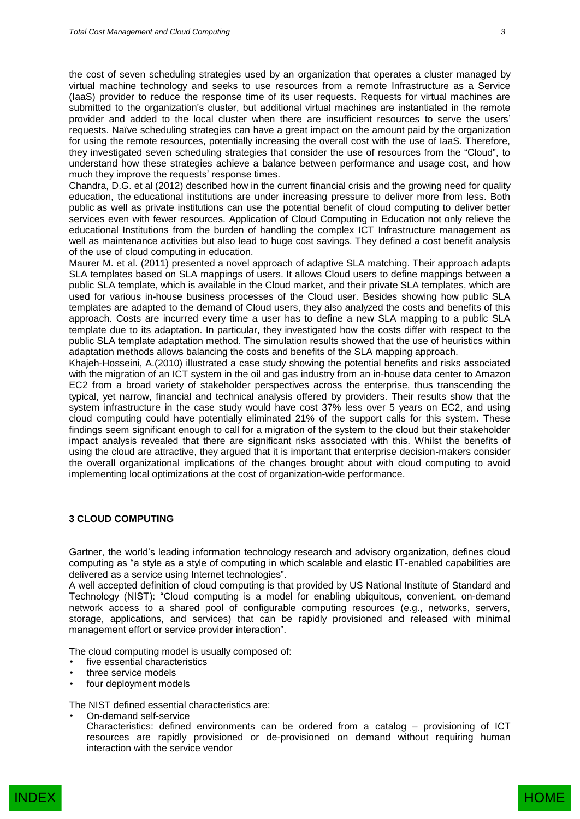the cost of seven scheduling strategies used by an organization that operates a cluster managed by virtual machine technology and seeks to use resources from a remote Infrastructure as a Service (IaaS) provider to reduce the response time of its user requests. Requests for virtual machines are submitted to the organization's cluster, but additional virtual machines are instantiated in the remote provider and added to the local cluster when there are insufficient resources to serve the users' requests. Naïve scheduling strategies can have a great impact on the amount paid by the organization for using the remote resources, potentially increasing the overall cost with the use of IaaS. Therefore, they investigated seven scheduling strategies that consider the use of resources from the "Cloud", to understand how these strategies achieve a balance between performance and usage cost, and how much they improve the requests' response times.

Chandra, D.G. et al (2012) described how in the current financial crisis and the growing need for quality education, the educational institutions are under increasing pressure to deliver more from less. Both public as well as private institutions can use the potential benefit of cloud computing to deliver better services even with fewer resources. Application of Cloud Computing in Education not only relieve the educational Institutions from the burden of handling the complex ICT Infrastructure management as well as maintenance activities but also lead to huge cost savings. They defined a cost benefit analysis of the use of cloud computing in education.

Maurer M. et al. (2011) presented a novel approach of adaptive SLA matching. Their approach adapts SLA templates based on SLA mappings of users. It allows Cloud users to define mappings between a public SLA template, which is available in the Cloud market, and their private SLA templates, which are used for various in-house business processes of the Cloud user. Besides showing how public SLA templates are adapted to the demand of Cloud users, they also analyzed the costs and benefits of this approach. Costs are incurred every time a user has to define a new SLA mapping to a public SLA template due to its adaptation. In particular, they investigated how the costs differ with respect to the public SLA template adaptation method. The simulation results showed that the use of heuristics within adaptation methods allows balancing the costs and benefits of the SLA mapping approach.

Khajeh-Hosseini, A.(2010) illustrated a case study showing the potential benefits and risks associated with the migration of an ICT system in the oil and gas industry from an in-house data center to Amazon EC2 from a broad variety of stakeholder perspectives across the enterprise, thus transcending the typical, yet narrow, financial and technical analysis offered by providers. Their results show that the system infrastructure in the case study would have cost 37% less over 5 years on EC2, and using cloud computing could have potentially eliminated 21% of the support calls for this system. These findings seem significant enough to call for a migration of the system to the cloud but their stakeholder impact analysis revealed that there are significant risks associated with this. Whilst the benefits of using the cloud are attractive, they argued that it is important that enterprise decision-makers consider the overall organizational implications of the changes brought about with cloud computing to avoid implementing local optimizations at the cost of organization-wide performance.

#### **3 CLOUD COMPUTING**

Gartner, the world's leading information technology research and advisory organization, defines cloud computing as "a style as a style of computing in which scalable and elastic IT-enabled capabilities are delivered as a service using Internet technologies".

A well accepted definition of cloud computing is that provided by US National Institute of Standard and Technology (NIST): "Cloud computing is a model for enabling ubiquitous, convenient, on-demand network access to a shared pool of configurable computing resources (e.g., networks, servers, storage, applications, and services) that can be rapidly provisioned and released with minimal management effort or service provider interaction".

The cloud computing model is usually composed of:

- five essential characteristics
- three service models
- four deployment models

The NIST defined essential characteristics are:

• On-demand self-service

Characteristics: defined environments can be ordered from a catalog – provisioning of ICT resources are rapidly provisioned or de-provisioned on demand without requiring human interaction with the service vendor

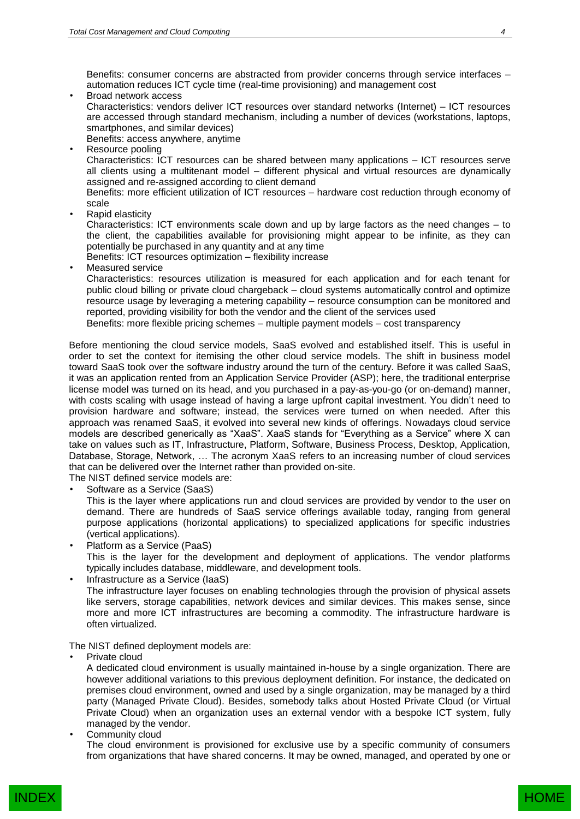Benefits: consumer concerns are abstracted from provider concerns through service interfaces – automation reduces ICT cycle time (real-time provisioning) and management cost

• Broad network access Characteristics: vendors deliver ICT resources over standard networks (Internet) – ICT resources are accessed through standard mechanism, including a number of devices (workstations, laptops, smartphones, and similar devices)

Benefits: access anywhere, anytime

Resource pooling

Characteristics: ICT resources can be shared between many applications – ICT resources serve all clients using a multitenant model – different physical and virtual resources are dynamically assigned and re-assigned according to client demand

Benefits: more efficient utilization of ICT resources – hardware cost reduction through economy of scale

• Rapid elasticity

Characteristics: ICT environments scale down and up by large factors as the need changes – to the client, the capabilities available for provisioning might appear to be infinite, as they can potentially be purchased in any quantity and at any time

Benefits: ICT resources optimization – flexibility increase

• Measured service

Characteristics: resources utilization is measured for each application and for each tenant for public cloud billing or private cloud chargeback – cloud systems automatically control and optimize resource usage by leveraging a metering capability – resource consumption can be monitored and reported, providing visibility for both the vendor and the client of the services used

Benefits: more flexible pricing schemes – multiple payment models – cost transparency

Before mentioning the cloud service models, SaaS evolved and established itself. This is useful in order to set the context for itemising the other cloud service models. The shift in business model toward SaaS took over the software industry around the turn of the century. Before it was called SaaS, it was an application rented from an Application Service Provider (ASP); here, the traditional enterprise license model was turned on its head, and you purchased in a pay-as-you-go (or on-demand) manner, with costs scaling with usage instead of having a large upfront capital investment. You didn't need to provision hardware and software; instead, the services were turned on when needed. After this approach was renamed SaaS, it evolved into several new kinds of offerings. Nowadays cloud service models are described generically as "XaaS". XaaS stands for "Everything as a Service" where X can take on values such as IT, Infrastructure, Platform, Software, Business Process, Desktop, Application, Database, Storage, Network, … The acronym XaaS refers to an increasing number of cloud services that can be delivered over the Internet rather than provided on-site.

The NIST defined service models are:

Software as a Service (SaaS)

This is the layer where applications run and cloud services are provided by vendor to the user on demand. There are hundreds of SaaS service offerings available today, ranging from general purpose applications (horizontal applications) to specialized applications for specific industries (vertical applications).

- Platform as a Service (PaaS) This is the layer for the development and deployment of applications. The vendor platforms typically includes database, middleware, and development tools.
- Infrastructure as a Service (IaaS) The infrastructure layer focuses on enabling technologies through the provision of physical assets like servers, storage capabilities, network devices and similar devices. This makes sense, since more and more ICT infrastructures are becoming a commodity. The infrastructure hardware is often virtualized.

The NIST defined deployment models are:

• Private cloud

A dedicated cloud environment is usually maintained in-house by a single organization. There are however additional variations to this previous deployment definition. For instance, the dedicated on premises cloud environment, owned and used by a single organization, may be managed by a third party (Managed Private Cloud). Besides, somebody talks about Hosted Private Cloud (or Virtual Private Cloud) when an organization uses an external vendor with a bespoke ICT system, fully managed by the vendor.

Community cloud

The cloud environment is provisioned for exclusive use by a specific community of consumers from organizations that have shared concerns. It may be owned, managed, and operated by one or

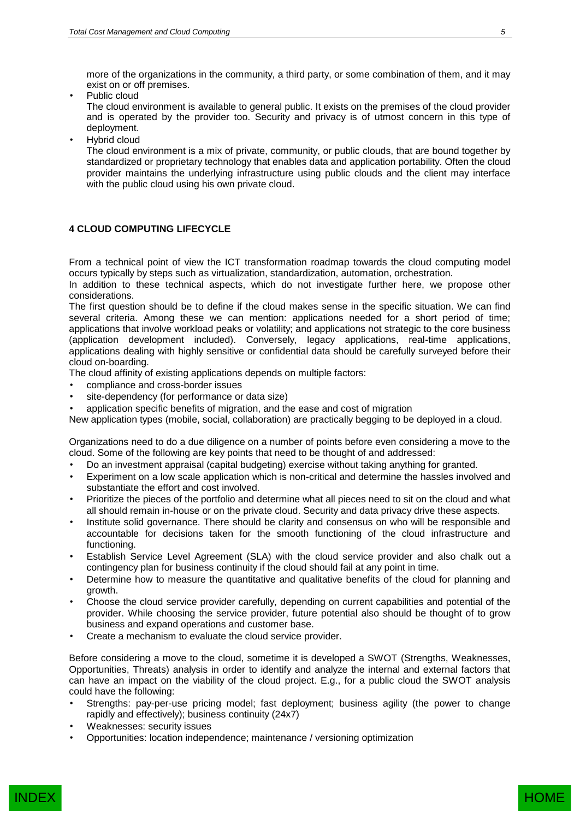more of the organizations in the community, a third party, or some combination of them, and it may exist on or off premises.

Public cloud

The cloud environment is available to general public. It exists on the premises of the cloud provider and is operated by the provider too. Security and privacy is of utmost concern in this type of deployment.

• Hybrid cloud

The cloud environment is a mix of private, community, or public clouds, that are bound together by standardized or proprietary technology that enables data and application portability. Often the cloud provider maintains the underlying infrastructure using public clouds and the client may interface with the public cloud using his own private cloud.

# **4 CLOUD COMPUTING LIFECYCLE**

From a technical point of view the ICT transformation roadmap towards the cloud computing model occurs typically by steps such as virtualization, standardization, automation, orchestration.

In addition to these technical aspects, which do not investigate further here, we propose other considerations.

The first question should be to define if the cloud makes sense in the specific situation. We can find several criteria. Among these we can mention: applications needed for a short period of time; applications that involve workload peaks or volatility; and applications not strategic to the core business (application development included). Conversely, legacy applications, real-time applications, applications dealing with highly sensitive or confidential data should be carefully surveyed before their cloud on-boarding.

The cloud affinity of existing applications depends on multiple factors:

- compliance and cross-border issues
- site-dependency (for performance or data size)
- application specific benefits of migration, and the ease and cost of migration

New application types (mobile, social, collaboration) are practically begging to be deployed in a cloud.

Organizations need to do a due diligence on a number of points before even considering a move to the cloud. Some of the following are key points that need to be thought of and addressed:

- Do an investment appraisal (capital budgeting) exercise without taking anything for granted.
- Experiment on a low scale application which is non-critical and determine the hassles involved and substantiate the effort and cost involved.
- Prioritize the pieces of the portfolio and determine what all pieces need to sit on the cloud and what all should remain in-house or on the private cloud. Security and data privacy drive these aspects.
- Institute solid governance. There should be clarity and consensus on who will be responsible and accountable for decisions taken for the smooth functioning of the cloud infrastructure and functioning.
- Establish Service Level Agreement (SLA) with the cloud service provider and also chalk out a contingency plan for business continuity if the cloud should fail at any point in time.
- Determine how to measure the quantitative and qualitative benefits of the cloud for planning and growth.
- Choose the cloud service provider carefully, depending on current capabilities and potential of the provider. While choosing the service provider, future potential also should be thought of to grow business and expand operations and customer base.
- Create a mechanism to evaluate the cloud service provider.

Before considering a move to the cloud, sometime it is developed a SWOT (Strengths, Weaknesses, Opportunities, Threats) analysis in order to identify and analyze the internal and external factors that can have an impact on the viability of the cloud project. E.g., for a public cloud the SWOT analysis could have the following:

- Strengths: pay-per-use pricing model; fast deployment; business agility (the power to change rapidly and effectively); business continuity (24x7)
- Weaknesses: security issues
- Opportunities: location independence; maintenance / versioning optimization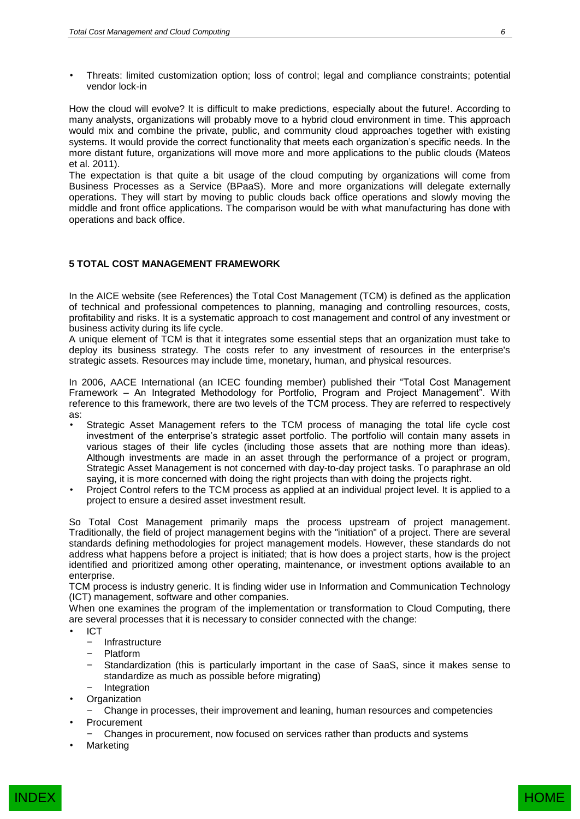• Threats: limited customization option; loss of control; legal and compliance constraints; potential vendor lock-in

How the cloud will evolve? It is difficult to make predictions, especially about the future!. According to many analysts, organizations will probably move to a hybrid cloud environment in time. This approach would mix and combine the private, public, and community cloud approaches together with existing systems. It would provide the correct functionality that meets each organization's specific needs. In the more distant future, organizations will move more and more applications to the public clouds (Mateos et al. 2011).

The expectation is that quite a bit usage of the cloud computing by organizations will come from Business Processes as a Service (BPaaS). More and more organizations will delegate externally operations. They will start by moving to public clouds back office operations and slowly moving the middle and front office applications. The comparison would be with what manufacturing has done with operations and back office.

## **5 TOTAL COST MANAGEMENT FRAMEWORK**

In the AICE website (see References) the Total Cost Management (TCM) is defined as the application of technical and professional competences to planning, managing and controlling resources, costs, profitability and risks. It is a systematic approach to cost management and control of any investment or business activity during its life cycle.

A unique element of TCM is that it integrates some essential steps that an organization must take to deploy its business strategy. The costs refer to any investment of resources in the enterprise's strategic assets. Resources may include time, monetary, human, and physical resources.

In 2006, AACE International (an ICEC founding member) published their "Total Cost Management Framework – An Integrated Methodology for Portfolio, Program and Project Management". With reference to this framework, there are two levels of the TCM process. They are referred to respectively as:

- Strategic Asset Management refers to the TCM process of managing the total life cycle cost investment of the enterprise's strategic asset portfolio. The portfolio will contain many assets in various stages of their life cycles (including those assets that are nothing more than ideas). Although investments are made in an asset through the performance of a project or program, Strategic Asset Management is not concerned with day-to-day project tasks. To paraphrase an old saying, it is more concerned with doing the right projects than with doing the projects right.
- Project Control refers to the TCM process as applied at an individual project level. It is applied to a project to ensure a desired asset investment result.

So Total Cost Management primarily maps the process upstream of project management. Traditionally, the field of project management begins with the "initiation" of a project. There are several standards defining methodologies for project management models. However, these standards do not address what happens before a project is initiated; that is how does a project starts, how is the project identified and prioritized among other operating, maintenance, or investment options available to an enterprise.

TCM process is industry generic. It is finding wider use in Information and Communication Technology (ICT) management, software and other companies.

When one examines the program of the implementation or transformation to Cloud Computing, there are several processes that it is necessary to consider connected with the change:

- ICT
	- − Infrastructure
	- − Platform
	- − Standardization (this is particularly important in the case of SaaS, since it makes sense to standardize as much as possible before migrating)
	- − Integration
- **Organization** 
	- − Change in processes, their improvement and leaning, human resources and competencies
- **Procurement** 
	- − Changes in procurement, now focused on services rather than products and systems
- **Marketing**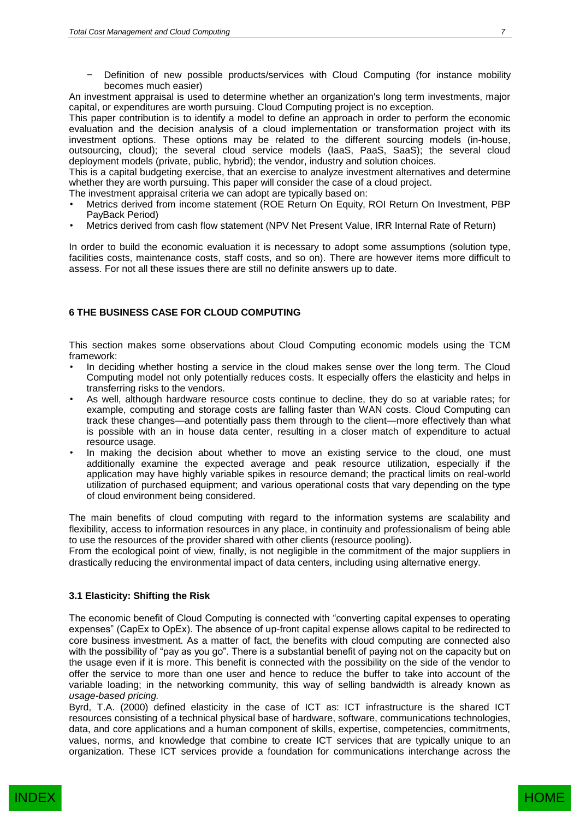Definition of new possible products/services with Cloud Computing (for instance mobility becomes much easier)

An investment appraisal is used to determine whether an organization's long term investments, major capital, or expenditures are worth pursuing. Cloud Computing project is no exception.

This paper contribution is to identify a model to define an approach in order to perform the economic evaluation and the decision analysis of a cloud implementation or transformation project with its investment options. These options may be related to the different sourcing models (in-house, outsourcing, cloud); the several cloud service models (IaaS, PaaS, SaaS); the several cloud deployment models (private, public, hybrid); the vendor, industry and solution choices.

This is a capital budgeting exercise, that an exercise to analyze investment alternatives and determine whether they are worth pursuing. This paper will consider the case of a cloud project.

The investment appraisal criteria we can adopt are typically based on:

- Metrics derived from income statement (ROE Return On Equity, ROI Return On Investment, PBP PayBack Period)
- Metrics derived from cash flow statement (NPV Net Present Value, IRR Internal Rate of Return)

In order to build the economic evaluation it is necessary to adopt some assumptions (solution type, facilities costs, maintenance costs, staff costs, and so on). There are however items more difficult to assess. For not all these issues there are still no definite answers up to date.

#### **6 THE BUSINESS CASE FOR CLOUD COMPUTING**

This section makes some observations about Cloud Computing economic models using the TCM framework:

- In deciding whether hosting a service in the cloud makes sense over the long term. The Cloud Computing model not only potentially reduces costs. It especially offers the elasticity and helps in transferring risks to the vendors.
- As well, although hardware resource costs continue to decline, they do so at variable rates; for example, computing and storage costs are falling faster than WAN costs. Cloud Computing can track these changes—and potentially pass them through to the client—more effectively than what is possible with an in house data center, resulting in a closer match of expenditure to actual resource usage.
- In making the decision about whether to move an existing service to the cloud, one must additionally examine the expected average and peak resource utilization, especially if the application may have highly variable spikes in resource demand; the practical limits on real-world utilization of purchased equipment; and various operational costs that vary depending on the type of cloud environment being considered.

The main benefits of cloud computing with regard to the information systems are scalability and flexibility, access to information resources in any place, in continuity and professionalism of being able to use the resources of the provider shared with other clients (resource pooling).

From the ecological point of view, finally, is not negligible in the commitment of the major suppliers in drastically reducing the environmental impact of data centers, including using alternative energy.

#### **3.1 Elasticity: Shifting the Risk**

The economic benefit of Cloud Computing is connected with "converting capital expenses to operating expenses" (CapEx to OpEx). The absence of up-front capital expense allows capital to be redirected to core business investment. As a matter of fact, the benefits with cloud computing are connected also with the possibility of "pay as you go". There is a substantial benefit of paying not on the capacity but on the usage even if it is more. This benefit is connected with the possibility on the side of the vendor to offer the service to more than one user and hence to reduce the buffer to take into account of the variable loading; in the networking community, this way of selling bandwidth is already known as *usage-based pricing.* 

Byrd, T.A. (2000) defined elasticity in the case of ICT as: ICT infrastructure is the shared ICT resources consisting of a technical physical base of hardware, software, communications technologies, data, and core applications and a human component of skills, expertise, competencies, commitments, values, norms, and knowledge that combine to create ICT services that are typically unique to an organization. These ICT services provide a foundation for communications interchange across the

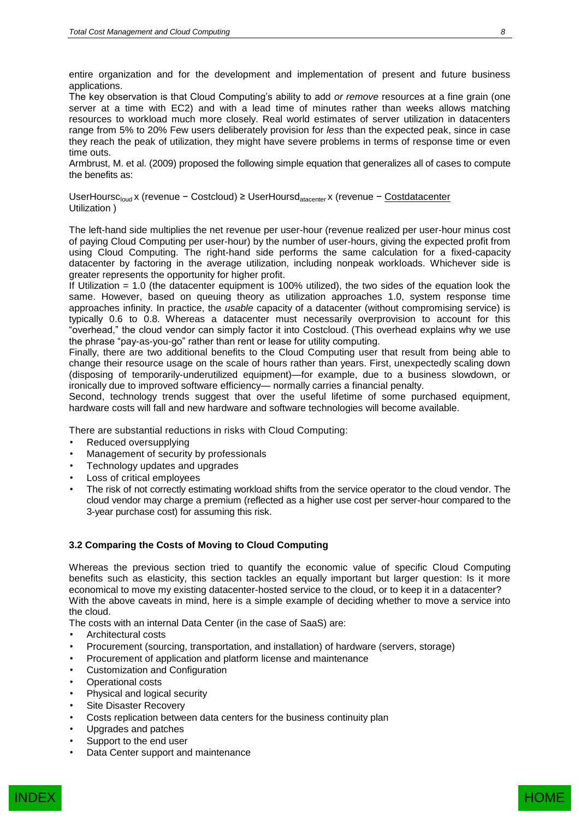entire organization and for the development and implementation of present and future business applications.

The key observation is that Cloud Computing's ability to add *or remove* resources at a fine grain (one server at a time with EC2) and with a lead time of minutes rather than weeks allows matching resources to workload much more closely. Real world estimates of server utilization in datacenters range from 5% to 20% Few users deliberately provision for *less* than the expected peak, since in case they reach the peak of utilization, they might have severe problems in terms of response time or even time outs.

Armbrust, M. et al. (2009) proposed the following simple equation that generalizes all of cases to compute the benefits as:

UserHoursc<sub>loud</sub> x (revenue − Costcloud) ≥ UserHoursd<sub>atacenter</sub> x (revenue − Costdatacenter Utilization )

The left-hand side multiplies the net revenue per user-hour (revenue realized per user-hour minus cost of paying Cloud Computing per user-hour) by the number of user-hours, giving the expected profit from using Cloud Computing. The right-hand side performs the same calculation for a fixed-capacity datacenter by factoring in the average utilization, including nonpeak workloads. Whichever side is greater represents the opportunity for higher profit.

If Utilization = 1.0 (the datacenter equipment is 100% utilized), the two sides of the equation look the same. However, based on queuing theory as utilization approaches 1.0, system response time approaches infinity. In practice, the *usable* capacity of a datacenter (without compromising service) is typically 0.6 to 0.8. Whereas a datacenter must necessarily overprovision to account for this "overhead," the cloud vendor can simply factor it into Costcloud. (This overhead explains why we use the phrase "pay-as-you-go" rather than rent or lease for utility computing.

Finally, there are two additional benefits to the Cloud Computing user that result from being able to change their resource usage on the scale of hours rather than years. First, unexpectedly scaling down (disposing of temporarily-underutilized equipment)—for example, due to a business slowdown, or ironically due to improved software efficiency— normally carries a financial penalty.

Second, technology trends suggest that over the useful lifetime of some purchased equipment, hardware costs will fall and new hardware and software technologies will become available.

There are substantial reductions in risks with Cloud Computing:

- Reduced oversupplying
- Management of security by professionals
- Technology updates and upgrades
- Loss of critical employees
- The risk of not correctly estimating workload shifts from the service operator to the cloud vendor. The cloud vendor may charge a premium (reflected as a higher use cost per server-hour compared to the 3-year purchase cost) for assuming this risk.

# **3.2 Comparing the Costs of Moving to Cloud Computing**

Whereas the previous section tried to quantify the economic value of specific Cloud Computing benefits such as elasticity, this section tackles an equally important but larger question: Is it more economical to move my existing datacenter-hosted service to the cloud, or to keep it in a datacenter? With the above caveats in mind, here is a simple example of deciding whether to move a service into the cloud.

The costs with an internal Data Center (in the case of SaaS) are:

- Architectural costs
- Procurement (sourcing, transportation, and installation) of hardware (servers, storage)
- Procurement of application and platform license and maintenance
- Customization and Configuration
- Operational costs
- Physical and logical security
- Site Disaster Recovery
- Costs replication between data centers for the business continuity plan
- Upgrades and patches
- Support to the end user
- Data Center support and maintenance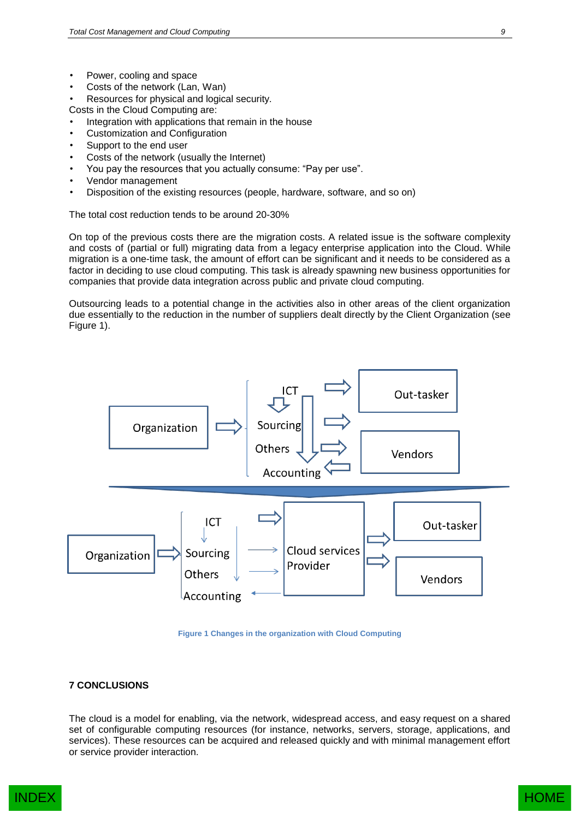- Power, cooling and space
- Costs of the network (Lan, Wan)
- Resources for physical and logical security.

Costs in the Cloud Computing are:

- Integration with applications that remain in the house
- Customization and Configuration
- Support to the end user
- Costs of the network (usually the Internet)
- You pay the resources that you actually consume: "Pay per use".
- Vendor management
- Disposition of the existing resources (people, hardware, software, and so on)

The total cost reduction tends to be around 20-30%

On top of the previous costs there are the migration costs. A related issue is the software complexity and costs of (partial or full) migrating data from a legacy enterprise application into the Cloud. While migration is a one-time task, the amount of effort can be significant and it needs to be considered as a factor in deciding to use cloud computing. This task is already spawning new business opportunities for companies that provide data integration across public and private cloud computing.

Outsourcing leads to a potential change in the activities also in other areas of the client organization due essentially to the reduction in the number of suppliers dealt directly by the Client Organization (see [Figure 1\)](#page-8-0).



**Figure 1 Changes in the organization with Cloud Computing**

#### <span id="page-8-0"></span>**7 CONCLUSIONS**

The cloud is a model for enabling, via the network, widespread access, and easy request on a shared set of configurable computing resources (for instance, networks, servers, storage, applications, and services). These resources can be acquired and released quickly and with minimal management effort or service provider interaction.

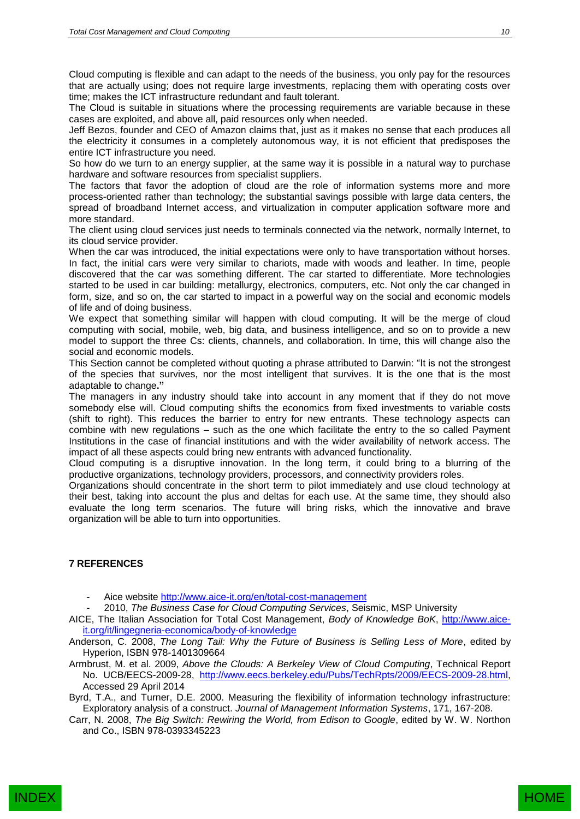Cloud computing is flexible and can adapt to the needs of the business, you only pay for the resources that are actually using; does not require large investments, replacing them with operating costs over time; makes the ICT infrastructure redundant and fault tolerant.

The Cloud is suitable in situations where the processing requirements are variable because in these cases are exploited, and above all, paid resources only when needed.

Jeff Bezos, founder and CEO of Amazon claims that, just as it makes no sense that each produces all the electricity it consumes in a completely autonomous way, it is not efficient that predisposes the entire ICT infrastructure you need.

So how do we turn to an energy supplier, at the same way it is possible in a natural way to purchase hardware and software resources from specialist suppliers.

The factors that favor the adoption of cloud are the role of information systems more and more process-oriented rather than technology; the substantial savings possible with large data centers, the spread of broadband Internet access, and virtualization in computer application software more and more standard.

The client using cloud services just needs to terminals connected via the network, normally Internet, to its cloud service provider.

When the car was introduced, the initial expectations were only to have transportation without horses. In fact, the initial cars were very similar to chariots, made with woods and leather. In time, people discovered that the car was something different. The car started to differentiate. More technologies started to be used in car building: metallurgy, electronics, computers, etc. Not only the car changed in form, size, and so on, the car started to impact in a powerful way on the social and economic models of life and of doing business.

We expect that something similar will happen with cloud computing. It will be the merge of cloud computing with social, mobile, web, big data, and business intelligence, and so on to provide a new model to support the three Cs: clients, channels, and collaboration. In time, this will change also the social and economic models.

This Section cannot be completed without quoting a phrase attributed to Darwin: "It is not the strongest of the species that survives, nor the most intelligent that survives. It is the one that is the most adaptable to change**."**

The managers in any industry should take into account in any moment that if they do not move somebody else will. Cloud computing shifts the economics from fixed investments to variable costs (shift to right). This reduces the barrier to entry for new entrants. These technology aspects can combine with new regulations – such as the one which facilitate the entry to the so called Payment Institutions in the case of financial institutions and with the wider availability of network access. The impact of all these aspects could bring new entrants with advanced functionality.

Cloud computing is a disruptive innovation. In the long term, it could bring to a blurring of the productive organizations, technology providers, processors, and connectivity providers roles.

Organizations should concentrate in the short term to pilot immediately and use cloud technology at their best, taking into account the plus and deltas for each use. At the same time, they should also evaluate the long term scenarios. The future will bring risks, which the innovative and brave organization will be able to turn into opportunities.

## **7 REFERENCES**

- Aice website<http://www.aice-it.org/en/total-cost-management>
- 2010, *The Business Case for Cloud Computing Services*, Seismic, MSP University

AICE, The Italian Association for Total Cost Management, *Body of Knowledge BoK*, [http://www.aice](http://www.aice-it.org/it/lingegneria-economica/body-of-knowledge)[it.org/it/lingegneria-economica/body-of-knowledge](http://www.aice-it.org/it/lingegneria-economica/body-of-knowledge)

Anderson, C. 2008, *The Long Tail: Why the Future of Business is Selling Less of More*, edited by Hyperion, ISBN 978-1401309664

Armbrust, M. et al. 2009, *Above the Clouds: A Berkeley View of Cloud Computing*, Technical Report No. UCB/EECS-2009-28, [http://www.eecs.berkeley.edu/Pubs/TechRpts/2009/EECS-2009-28.html,](http://www.eecs.berkeley.edu/Pubs/TechRpts/2009/EECS-2009-28.html) Accessed 29 April 2014

Byrd, T.A., and Turner, D.E. 2000. Measuring the flexibility of information technology infrastructure: Exploratory analysis of a construct. *Journal of Management Information Systems*, 171, 167-208.

Carr, N. 2008, *The Big Switch: Rewiring the World, from Edison to Google*, edited by W. W. Northon and Co., ISBN 978-0393345223